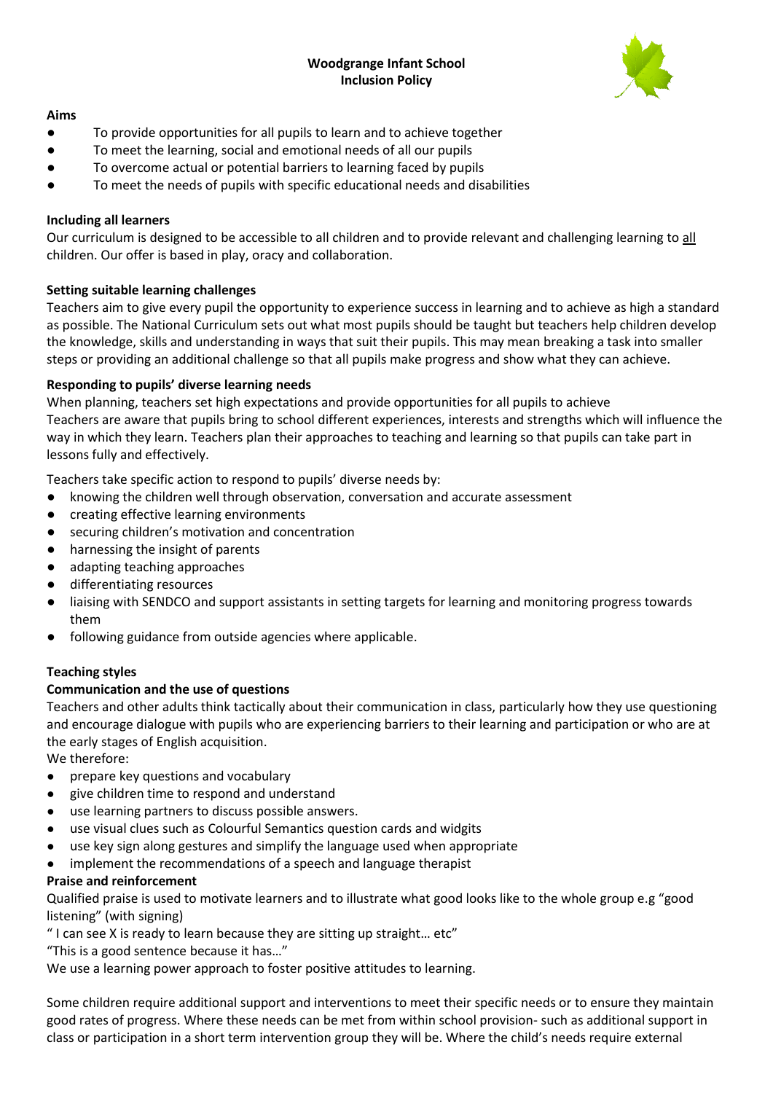# **Woodgrange Infant School Inclusion Policy**



## **Aims**

- To provide opportunities for all pupils to learn and to achieve together
- To meet the learning, social and emotional needs of all our pupils
- To overcome actual or potential barriers to learning faced by pupils
- To meet the needs of pupils with specific educational needs and disabilities

# **Including all learners**

Our curriculum is designed to be accessible to all children and to provide relevant and challenging learning to all children. Our offer is based in play, oracy and collaboration.

# **Setting suitable learning challenges**

Teachers aim to give every pupil the opportunity to experience success in learning and to achieve as high a standard as possible. The National Curriculum sets out what most pupils should be taught but teachers help children develop the knowledge, skills and understanding in ways that suit their pupils. This may mean breaking a task into smaller steps or providing an additional challenge so that all pupils make progress and show what they can achieve.

# **Responding to pupils' diverse learning needs**

When planning, teachers set high expectations and provide opportunities for all pupils to achieve Teachers are aware that pupils bring to school different experiences, interests and strengths which will influence the way in which they learn. Teachers plan their approaches to teaching and learning so that pupils can take part in lessons fully and effectively.

Teachers take specific action to respond to pupils' diverse needs by:

- knowing the children well through observation, conversation and accurate assessment
- creating effective learning environments
- securing children's motivation and concentration
- harnessing the insight of parents
- adapting teaching approaches
- differentiating resources
- liaising with SENDCO and support assistants in setting targets for learning and monitoring progress towards them
- following guidance from outside agencies where applicable.

## **Teaching styles**

# **Communication and the use of questions**

Teachers and other adults think tactically about their communication in class, particularly how they use questioning and encourage dialogue with pupils who are experiencing barriers to their learning and participation or who are at the early stages of English acquisition.

We therefore:

- prepare key questions and vocabulary
- give children time to respond and understand
- use learning partners to discuss possible answers.
- use visual clues such as Colourful Semantics question cards and widgits
- use key sign along gestures and simplify the language used when appropriate
- implement the recommendations of a speech and language therapist

## **Praise and reinforcement**

Qualified praise is used to motivate learners and to illustrate what good looks like to the whole group e.g "good listening" (with signing)

" I can see X is ready to learn because they are sitting up straight… etc"

"This is a good sentence because it has…"

We use a learning power approach to foster positive attitudes to learning.

Some children require additional support and interventions to meet their specific needs or to ensure they maintain good rates of progress. Where these needs can be met from within school provision- such as additional support in class or participation in a short term intervention group they will be. Where the child's needs require external